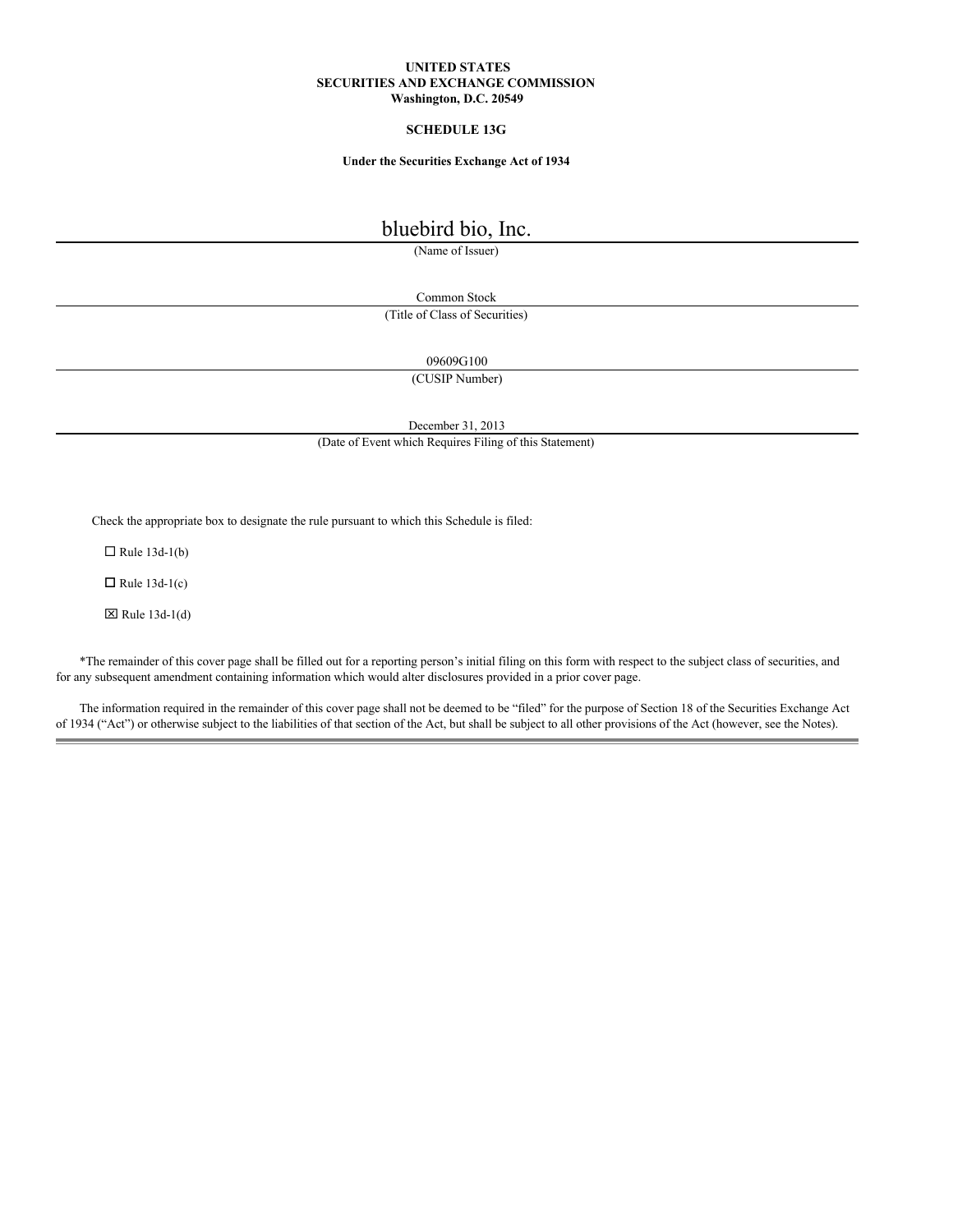## **UNITED STATES SECURITIES AND EXCHANGE COMMISSION Washington, D.C. 20549**

# **SCHEDULE 13G**

## **Under the Securities Exchange Act of 1934**

# bluebird bio, Inc.

(Name of Issuer)

Common Stock (Title of Class of Securities)

09609G100

(CUSIP Number)

December 31, 2013

(Date of Event which Requires Filing of this Statement)

Check the appropriate box to designate the rule pursuant to which this Schedule is filed:

 $\Box$  Rule 13d-1(b)

 $\Box$  Rule 13d-1(c)

 $\boxtimes$  Rule 13d-1(d)

\*The remainder of this cover page shall be filled out for a reporting person's initial filing on this form with respect to the subject class of securities, and for any subsequent amendment containing information which would alter disclosures provided in a prior cover page.

The information required in the remainder of this cover page shall not be deemed to be "filed" for the purpose of Section 18 of the Securities Exchange Act of 1934 ("Act") or otherwise subject to the liabilities of that section of the Act, but shall be subject to all other provisions of the Act (however, see the Notes).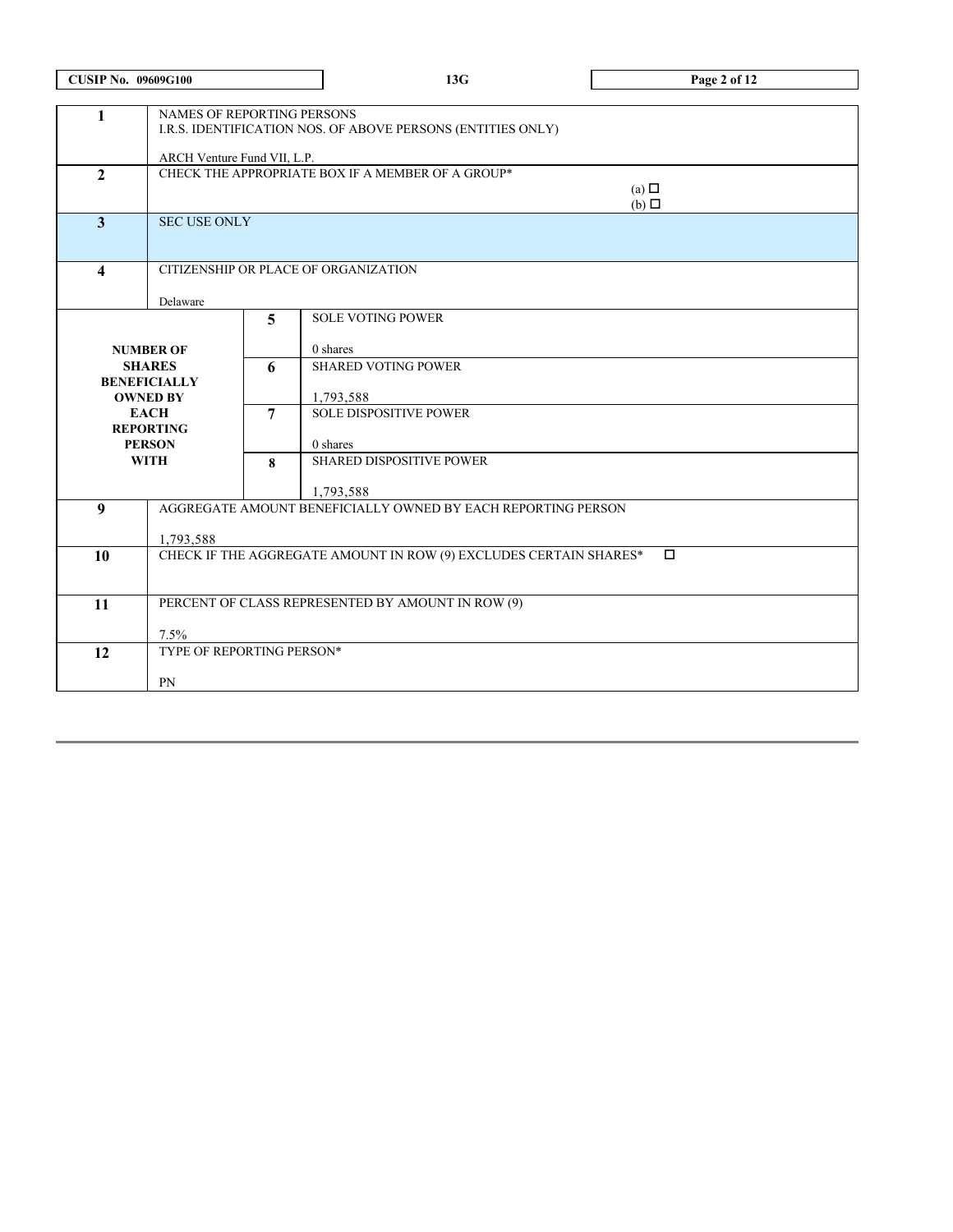| <b>CUSIP No. 09609G100</b> |                                                                             |                     | 13G                                                          | Page 2 of 12                  |  |  |  |
|----------------------------|-----------------------------------------------------------------------------|---------------------|--------------------------------------------------------------|-------------------------------|--|--|--|
| 1                          | <b>NAMES OF REPORTING PERSONS</b>                                           |                     | I.R.S. IDENTIFICATION NOS. OF ABOVE PERSONS (ENTITIES ONLY)  |                               |  |  |  |
|                            | ARCH Venture Fund VII, L.P.                                                 |                     |                                                              |                               |  |  |  |
| $\overline{2}$             |                                                                             |                     | CHECK THE APPROPRIATE BOX IF A MEMBER OF A GROUP*            | (a) $\Box$<br>$(b)$ $\square$ |  |  |  |
| $\overline{3}$             |                                                                             | <b>SEC USE ONLY</b> |                                                              |                               |  |  |  |
| $\overline{\mathbf{4}}$    |                                                                             |                     | CITIZENSHIP OR PLACE OF ORGANIZATION                         |                               |  |  |  |
|                            | Delaware                                                                    |                     |                                                              |                               |  |  |  |
|                            |                                                                             | 5                   | <b>SOLE VOTING POWER</b>                                     |                               |  |  |  |
|                            |                                                                             |                     |                                                              |                               |  |  |  |
|                            | <b>NUMBER OF</b><br><b>SHARES</b>                                           | 6                   | 0 shares<br><b>SHARED VOTING POWER</b>                       |                               |  |  |  |
|                            | <b>BENEFICIALLY</b>                                                         |                     |                                                              |                               |  |  |  |
|                            | <b>OWNED BY</b>                                                             |                     | 1,793,588                                                    |                               |  |  |  |
|                            | <b>EACH</b>                                                                 | 7                   | <b>SOLE DISPOSITIVE POWER</b>                                |                               |  |  |  |
|                            | <b>REPORTING</b><br><b>PERSON</b>                                           |                     | 0 shares                                                     |                               |  |  |  |
|                            | <b>WITH</b>                                                                 | $\mathbf{8}$        | SHARED DISPOSITIVE POWER                                     |                               |  |  |  |
|                            |                                                                             |                     |                                                              |                               |  |  |  |
|                            |                                                                             |                     | 1,793,588                                                    |                               |  |  |  |
| 9                          |                                                                             |                     | AGGREGATE AMOUNT BENEFICIALLY OWNED BY EACH REPORTING PERSON |                               |  |  |  |
|                            | 1,793,588                                                                   |                     |                                                              |                               |  |  |  |
| 10                         | CHECK IF THE AGGREGATE AMOUNT IN ROW (9) EXCLUDES CERTAIN SHARES*<br>$\Box$ |                     |                                                              |                               |  |  |  |
|                            |                                                                             |                     |                                                              |                               |  |  |  |
|                            |                                                                             |                     |                                                              |                               |  |  |  |
| 11                         | PERCENT OF CLASS REPRESENTED BY AMOUNT IN ROW (9)                           |                     |                                                              |                               |  |  |  |
|                            | 7.5%                                                                        |                     |                                                              |                               |  |  |  |
| 12                         | TYPE OF REPORTING PERSON*                                                   |                     |                                                              |                               |  |  |  |
|                            |                                                                             |                     |                                                              |                               |  |  |  |
|                            | PN                                                                          |                     |                                                              |                               |  |  |  |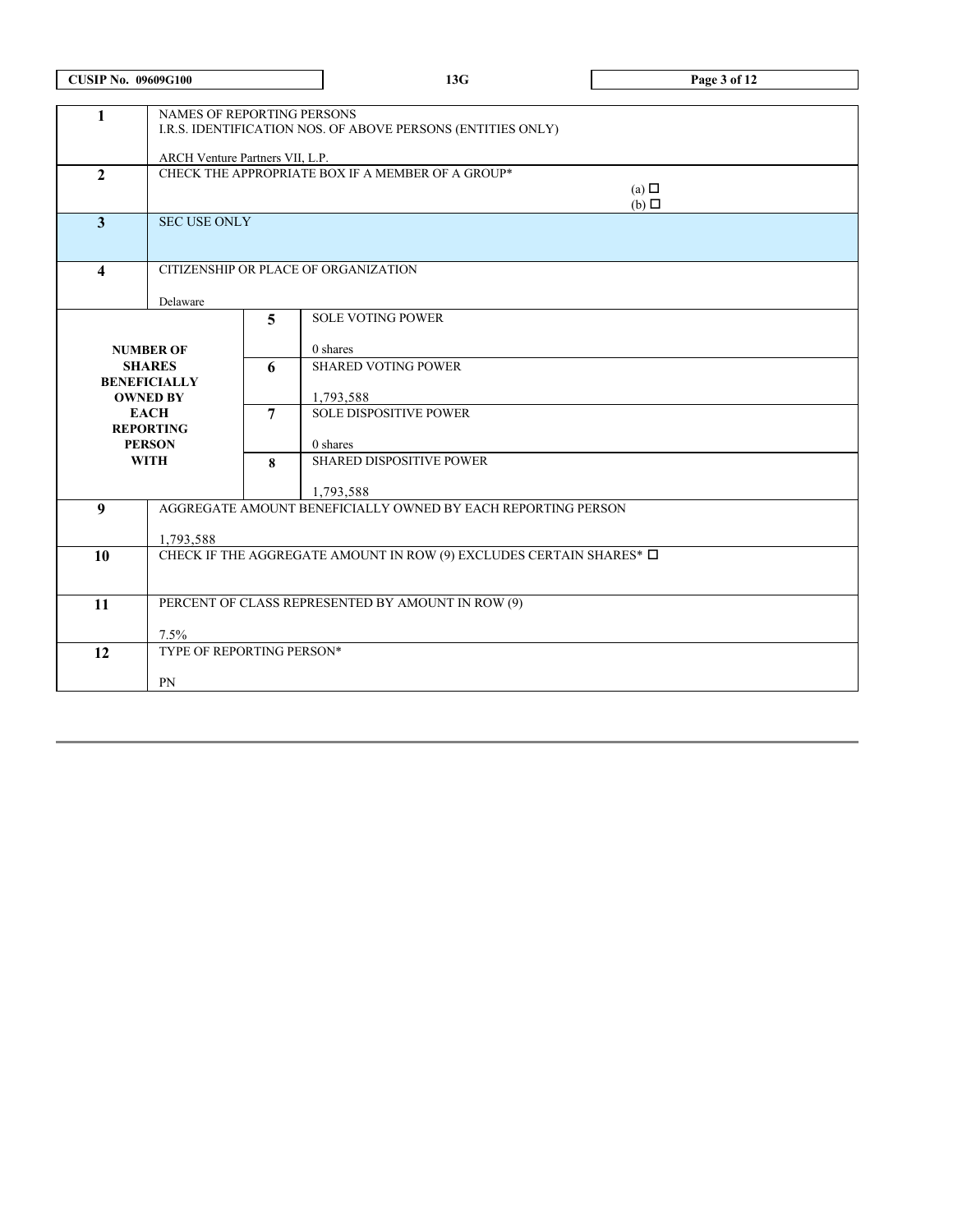| <b>CUSIP No. 09609G100</b> |                                                                                       |                                                             | 13G                                                          | Page 3 of 12    |  |  |  |
|----------------------------|---------------------------------------------------------------------------------------|-------------------------------------------------------------|--------------------------------------------------------------|-----------------|--|--|--|
|                            |                                                                                       |                                                             |                                                              |                 |  |  |  |
| $\mathbf{1}$               | NAMES OF REPORTING PERSONS                                                            |                                                             |                                                              |                 |  |  |  |
|                            |                                                                                       | I.R.S. IDENTIFICATION NOS. OF ABOVE PERSONS (ENTITIES ONLY) |                                                              |                 |  |  |  |
|                            | ARCH Venture Partners VII, L.P.                                                       |                                                             |                                                              |                 |  |  |  |
| $\overline{2}$             |                                                                                       |                                                             | CHECK THE APPROPRIATE BOX IF A MEMBER OF A GROUP*            |                 |  |  |  |
|                            |                                                                                       |                                                             |                                                              | (a) $\Box$      |  |  |  |
| $\overline{\mathbf{3}}$    | <b>SEC USE ONLY</b>                                                                   |                                                             |                                                              | $(b)$ $\square$ |  |  |  |
|                            |                                                                                       |                                                             |                                                              |                 |  |  |  |
|                            |                                                                                       |                                                             |                                                              |                 |  |  |  |
| $\overline{\mathbf{4}}$    |                                                                                       |                                                             | CITIZENSHIP OR PLACE OF ORGANIZATION                         |                 |  |  |  |
|                            | Delaware                                                                              |                                                             |                                                              |                 |  |  |  |
|                            |                                                                                       | 5                                                           | <b>SOLE VOTING POWER</b>                                     |                 |  |  |  |
|                            |                                                                                       |                                                             |                                                              |                 |  |  |  |
|                            | <b>NUMBER OF</b>                                                                      | 0 shares                                                    |                                                              |                 |  |  |  |
|                            | <b>SHARES</b>                                                                         | 6                                                           | <b>SHARED VOTING POWER</b>                                   |                 |  |  |  |
|                            | <b>BENEFICIALLY</b><br><b>OWNED BY</b>                                                |                                                             | 1,793,588                                                    |                 |  |  |  |
|                            | <b>EACH</b>                                                                           | $\overline{7}$                                              | <b>SOLE DISPOSITIVE POWER</b>                                |                 |  |  |  |
|                            | <b>REPORTING</b>                                                                      |                                                             |                                                              |                 |  |  |  |
|                            | <b>PERSON</b>                                                                         | 8                                                           | 0 shares                                                     |                 |  |  |  |
|                            | <b>WITH</b>                                                                           |                                                             | <b>SHARED DISPOSITIVE POWER</b>                              |                 |  |  |  |
|                            |                                                                                       |                                                             | 1,793,588                                                    |                 |  |  |  |
| 9                          |                                                                                       |                                                             | AGGREGATE AMOUNT BENEFICIALLY OWNED BY EACH REPORTING PERSON |                 |  |  |  |
|                            |                                                                                       |                                                             |                                                              |                 |  |  |  |
| 10                         | 1,793,588<br>CHECK IF THE AGGREGATE AMOUNT IN ROW (9) EXCLUDES CERTAIN SHARES* $\Box$ |                                                             |                                                              |                 |  |  |  |
|                            |                                                                                       |                                                             |                                                              |                 |  |  |  |
|                            |                                                                                       |                                                             |                                                              |                 |  |  |  |
| 11                         | PERCENT OF CLASS REPRESENTED BY AMOUNT IN ROW (9)                                     |                                                             |                                                              |                 |  |  |  |
|                            | 7.5%                                                                                  |                                                             |                                                              |                 |  |  |  |
| 12                         | TYPE OF REPORTING PERSON*                                                             |                                                             |                                                              |                 |  |  |  |
|                            |                                                                                       |                                                             |                                                              |                 |  |  |  |
|                            | PN                                                                                    |                                                             |                                                              |                 |  |  |  |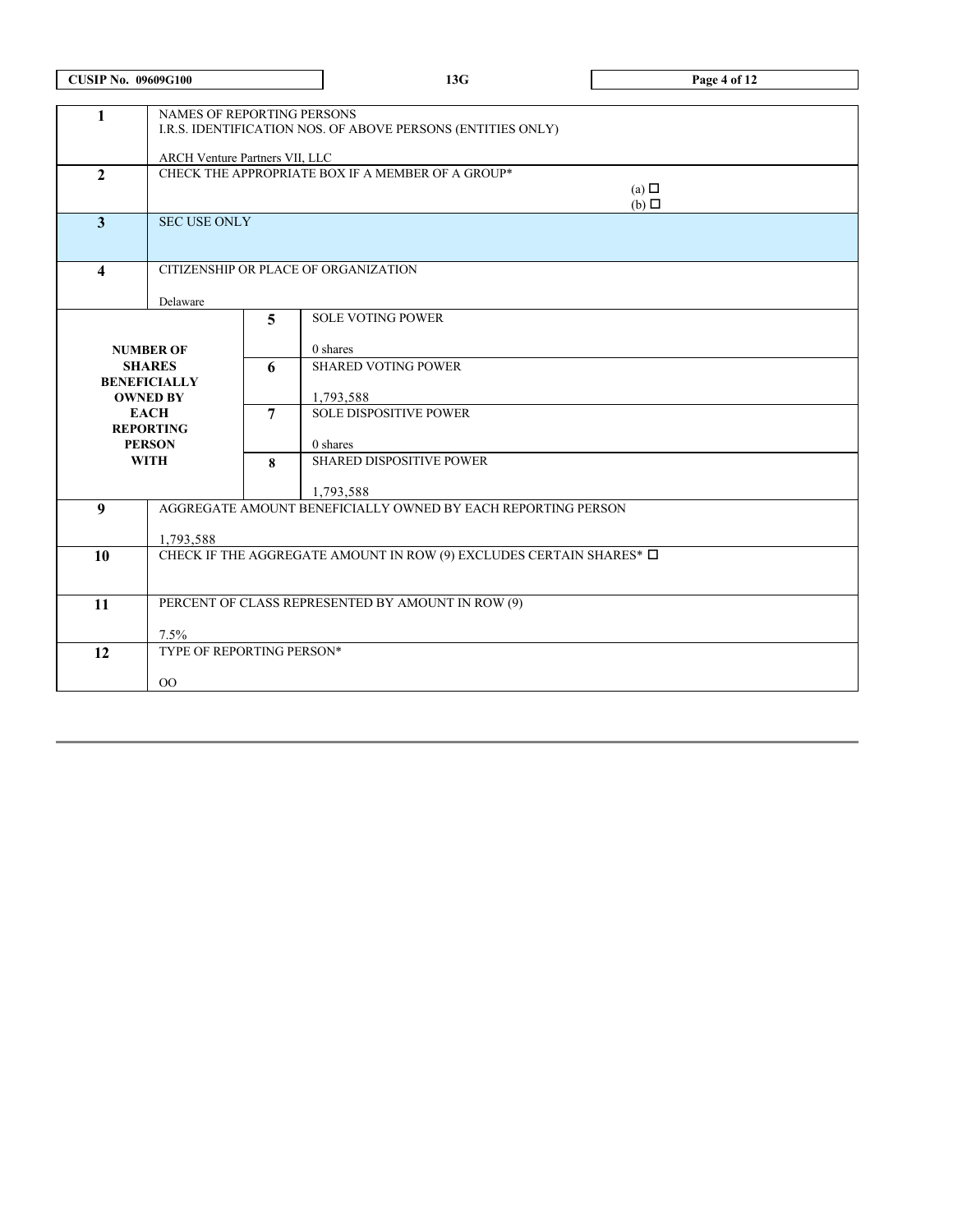| <b>CUSIP No. 09609G100</b> |                                                                                                                             |                                                                                    | 13G                                                          | Page 4 of 12 |  |
|----------------------------|-----------------------------------------------------------------------------------------------------------------------------|------------------------------------------------------------------------------------|--------------------------------------------------------------|--------------|--|
| $\mathbf{1}$               | NAMES OF REPORTING PERSONS<br>I.R.S. IDENTIFICATION NOS. OF ABOVE PERSONS (ENTITIES ONLY)<br>ARCH Venture Partners VII, LLC |                                                                                    |                                                              |              |  |
| $\overline{2}$             |                                                                                                                             | CHECK THE APPROPRIATE BOX IF A MEMBER OF A GROUP*<br>(a) $\Box$<br>$(b)$ $\square$ |                                                              |              |  |
| 3                          |                                                                                                                             | <b>SEC USE ONLY</b>                                                                |                                                              |              |  |
| $\overline{\mathbf{4}}$    |                                                                                                                             |                                                                                    | CITIZENSHIP OR PLACE OF ORGANIZATION                         |              |  |
|                            | Delaware                                                                                                                    |                                                                                    |                                                              |              |  |
|                            |                                                                                                                             | 5                                                                                  | <b>SOLE VOTING POWER</b>                                     |              |  |
|                            | <b>NUMBER OF</b>                                                                                                            |                                                                                    | 0 shares                                                     |              |  |
|                            | <b>SHARES</b><br><b>BENEFICIALLY</b>                                                                                        | 6                                                                                  | <b>SHARED VOTING POWER</b>                                   |              |  |
|                            | <b>OWNED BY</b>                                                                                                             | $\overline{7}$                                                                     | 1,793,588                                                    |              |  |
|                            | <b>EACH</b><br><b>REPORTING</b>                                                                                             |                                                                                    | <b>SOLE DISPOSITIVE POWER</b>                                |              |  |
|                            | <b>PERSON</b>                                                                                                               |                                                                                    | 0 shares                                                     |              |  |
|                            | <b>WITH</b>                                                                                                                 |                                                                                    | <b>SHARED DISPOSITIVE POWER</b>                              |              |  |
|                            |                                                                                                                             |                                                                                    | 1,793,588                                                    |              |  |
| 9                          |                                                                                                                             |                                                                                    | AGGREGATE AMOUNT BENEFICIALLY OWNED BY EACH REPORTING PERSON |              |  |
|                            | 1,793,588                                                                                                                   |                                                                                    |                                                              |              |  |
| 10                         | CHECK IF THE AGGREGATE AMOUNT IN ROW (9) EXCLUDES CERTAIN SHARES* $\Box$                                                    |                                                                                    |                                                              |              |  |
| 11                         | PERCENT OF CLASS REPRESENTED BY AMOUNT IN ROW (9)                                                                           |                                                                                    |                                                              |              |  |
|                            | 7.5%                                                                                                                        |                                                                                    |                                                              |              |  |
| 12                         | TYPE OF REPORTING PERSON*                                                                                                   |                                                                                    |                                                              |              |  |
|                            | $00\,$                                                                                                                      |                                                                                    |                                                              |              |  |
|                            |                                                                                                                             |                                                                                    |                                                              |              |  |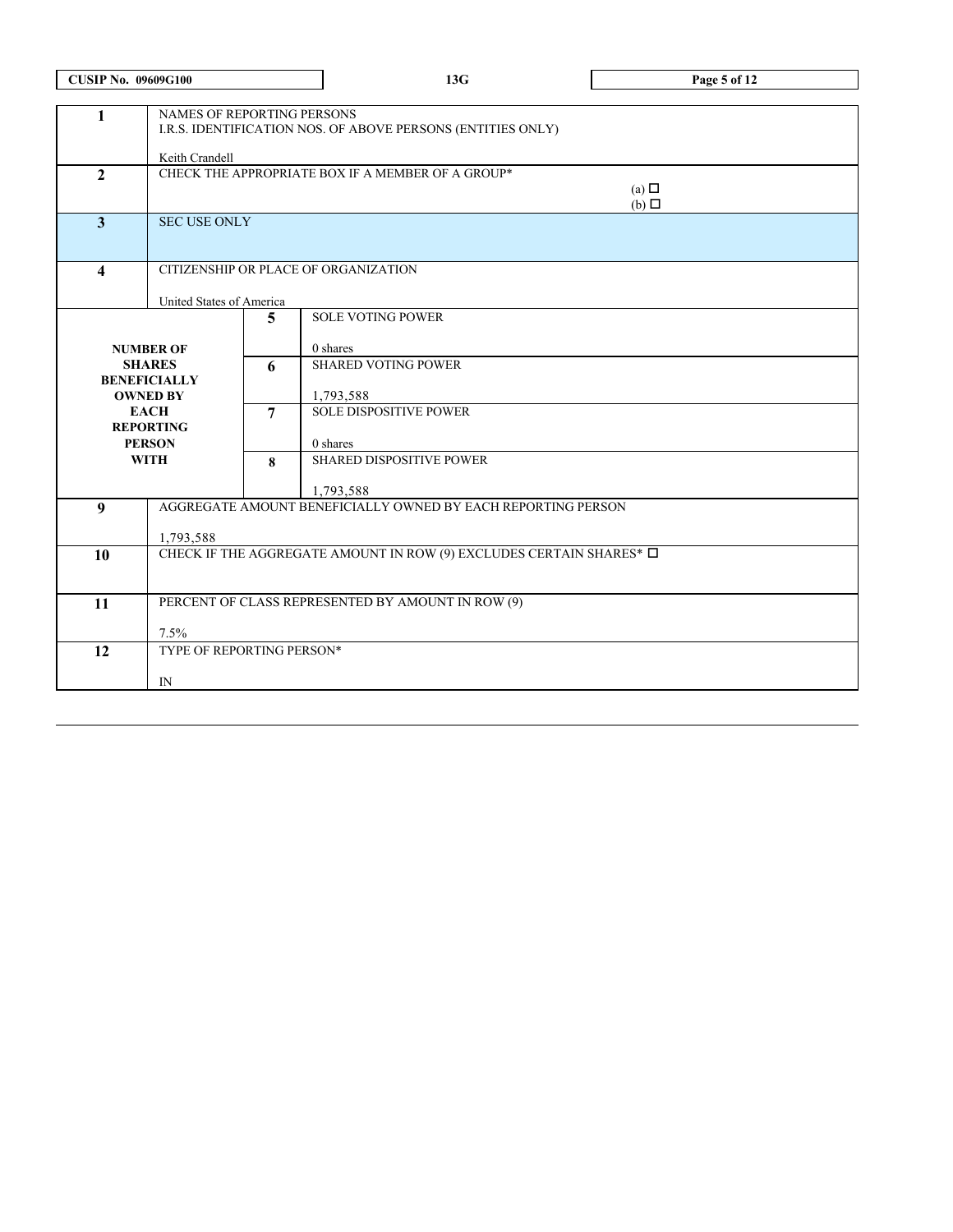| <b>CUSIP No. 09609G100</b> |                                                                                                             |                | 13G                                                                      | Page 5 of 12 |  |  |  |
|----------------------------|-------------------------------------------------------------------------------------------------------------|----------------|--------------------------------------------------------------------------|--------------|--|--|--|
| $\mathbf{1}$               | NAMES OF REPORTING PERSONS<br>I.R.S. IDENTIFICATION NOS. OF ABOVE PERSONS (ENTITIES ONLY)<br>Keith Crandell |                |                                                                          |              |  |  |  |
| $\overline{2}$             | CHECK THE APPROPRIATE BOX IF A MEMBER OF A GROUP*<br>(a) $\Box$<br>$(b)$ $\square$                          |                |                                                                          |              |  |  |  |
| $\overline{\mathbf{3}}$    | <b>SEC USE ONLY</b>                                                                                         |                |                                                                          |              |  |  |  |
| $\overline{\mathbf{4}}$    |                                                                                                             |                | CITIZENSHIP OR PLACE OF ORGANIZATION                                     |              |  |  |  |
|                            | United States of America                                                                                    |                |                                                                          |              |  |  |  |
|                            |                                                                                                             | 5              | <b>SOLE VOTING POWER</b>                                                 |              |  |  |  |
|                            | <b>NUMBER OF</b>                                                                                            |                | 0 shares                                                                 |              |  |  |  |
|                            | <b>SHARES</b>                                                                                               | 6              | <b>SHARED VOTING POWER</b>                                               |              |  |  |  |
|                            | <b>BENEFICIALLY</b>                                                                                         |                |                                                                          |              |  |  |  |
|                            | <b>OWNED BY</b>                                                                                             |                | 1,793,588                                                                |              |  |  |  |
|                            | <b>EACH</b><br><b>REPORTING</b>                                                                             | $\overline{7}$ | <b>SOLE DISPOSITIVE POWER</b>                                            |              |  |  |  |
|                            | <b>PERSON</b>                                                                                               |                | 0 shares                                                                 |              |  |  |  |
|                            | <b>WITH</b>                                                                                                 |                | <b>SHARED DISPOSITIVE POWER</b>                                          |              |  |  |  |
|                            |                                                                                                             |                | 1,793,588                                                                |              |  |  |  |
| 9                          |                                                                                                             |                | AGGREGATE AMOUNT BENEFICIALLY OWNED BY EACH REPORTING PERSON             |              |  |  |  |
|                            |                                                                                                             |                |                                                                          |              |  |  |  |
| 10                         | 1,793,588                                                                                                   |                | CHECK IF THE AGGREGATE AMOUNT IN ROW (9) EXCLUDES CERTAIN SHARES* $\Box$ |              |  |  |  |
|                            |                                                                                                             |                |                                                                          |              |  |  |  |
|                            |                                                                                                             |                |                                                                          |              |  |  |  |
| 11                         |                                                                                                             |                | PERCENT OF CLASS REPRESENTED BY AMOUNT IN ROW (9)                        |              |  |  |  |
|                            | 7.5%                                                                                                        |                |                                                                          |              |  |  |  |
| 12                         | TYPE OF REPORTING PERSON*                                                                                   |                |                                                                          |              |  |  |  |
|                            | IN                                                                                                          |                |                                                                          |              |  |  |  |
|                            |                                                                                                             |                |                                                                          |              |  |  |  |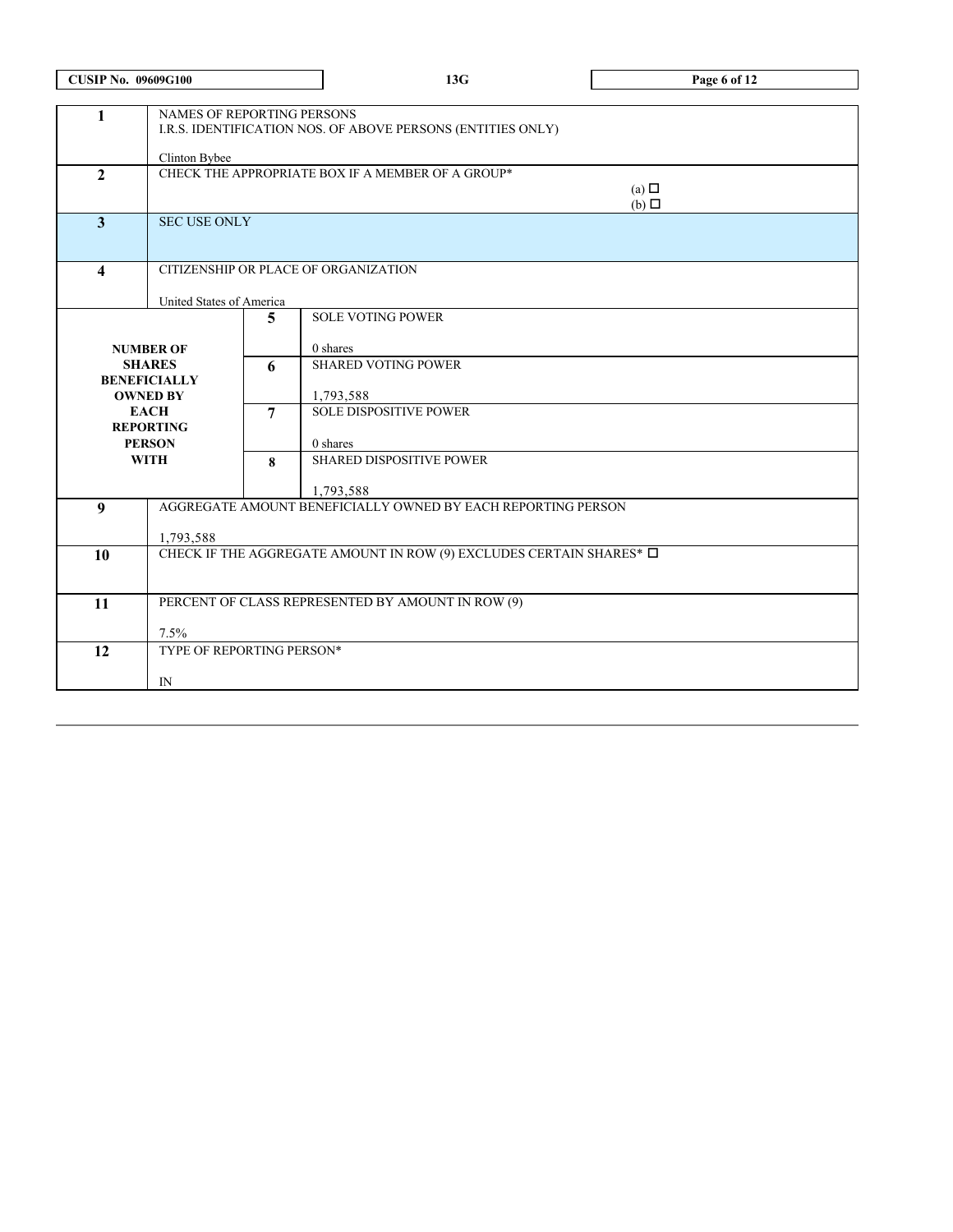| <b>CUSIP No. 09609G100</b> |                                                                          |                | 13G                                                          | Page 6 of 12    |  |  |  |
|----------------------------|--------------------------------------------------------------------------|----------------|--------------------------------------------------------------|-----------------|--|--|--|
|                            |                                                                          |                |                                                              |                 |  |  |  |
| 1                          | NAMES OF REPORTING PERSONS                                               |                |                                                              |                 |  |  |  |
|                            | I.R.S. IDENTIFICATION NOS. OF ABOVE PERSONS (ENTITIES ONLY)              |                |                                                              |                 |  |  |  |
|                            | Clinton Bybee                                                            |                |                                                              |                 |  |  |  |
| $\overline{2}$             |                                                                          |                | CHECK THE APPROPRIATE BOX IF A MEMBER OF A GROUP*            |                 |  |  |  |
|                            |                                                                          |                |                                                              | (a) $\Box$      |  |  |  |
|                            |                                                                          |                |                                                              | $(b)$ $\square$ |  |  |  |
| $\overline{\mathbf{3}}$    | <b>SECUSE ONLY</b>                                                       |                |                                                              |                 |  |  |  |
|                            |                                                                          |                |                                                              |                 |  |  |  |
| $\overline{\mathbf{4}}$    |                                                                          |                | CITIZENSHIP OR PLACE OF ORGANIZATION                         |                 |  |  |  |
|                            |                                                                          |                |                                                              |                 |  |  |  |
|                            | United States of America                                                 |                |                                                              |                 |  |  |  |
|                            |                                                                          | 5.             | <b>SOLE VOTING POWER</b>                                     |                 |  |  |  |
|                            | <b>NUMBER OF</b>                                                         |                | 0 shares                                                     |                 |  |  |  |
|                            | <b>SHARES</b>                                                            | 6              | <b>SHARED VOTING POWER</b>                                   |                 |  |  |  |
|                            | <b>BENEFICIALLY</b>                                                      |                |                                                              |                 |  |  |  |
|                            | <b>OWNED BY</b>                                                          |                | 1,793,588                                                    |                 |  |  |  |
|                            | <b>EACH</b>                                                              | $\overline{7}$ | <b>SOLE DISPOSITIVE POWER</b>                                |                 |  |  |  |
|                            | <b>REPORTING</b><br><b>PERSON</b>                                        |                | 0 shares                                                     |                 |  |  |  |
|                            | <b>WITH</b>                                                              | 8              | SHARED DISPOSITIVE POWER                                     |                 |  |  |  |
|                            |                                                                          |                |                                                              |                 |  |  |  |
|                            |                                                                          |                | 1,793,588                                                    |                 |  |  |  |
| 9                          |                                                                          |                | AGGREGATE AMOUNT BENEFICIALLY OWNED BY EACH REPORTING PERSON |                 |  |  |  |
|                            | 1,793,588                                                                |                |                                                              |                 |  |  |  |
| 10                         | CHECK IF THE AGGREGATE AMOUNT IN ROW (9) EXCLUDES CERTAIN SHARES* $\Box$ |                |                                                              |                 |  |  |  |
|                            |                                                                          |                |                                                              |                 |  |  |  |
|                            |                                                                          |                |                                                              |                 |  |  |  |
|                            | PERCENT OF CLASS REPRESENTED BY AMOUNT IN ROW (9)<br>11                  |                |                                                              |                 |  |  |  |
|                            | 7.5%                                                                     |                |                                                              |                 |  |  |  |
| 12                         | TYPE OF REPORTING PERSON*                                                |                |                                                              |                 |  |  |  |
|                            |                                                                          |                |                                                              |                 |  |  |  |
|                            | IN                                                                       |                |                                                              |                 |  |  |  |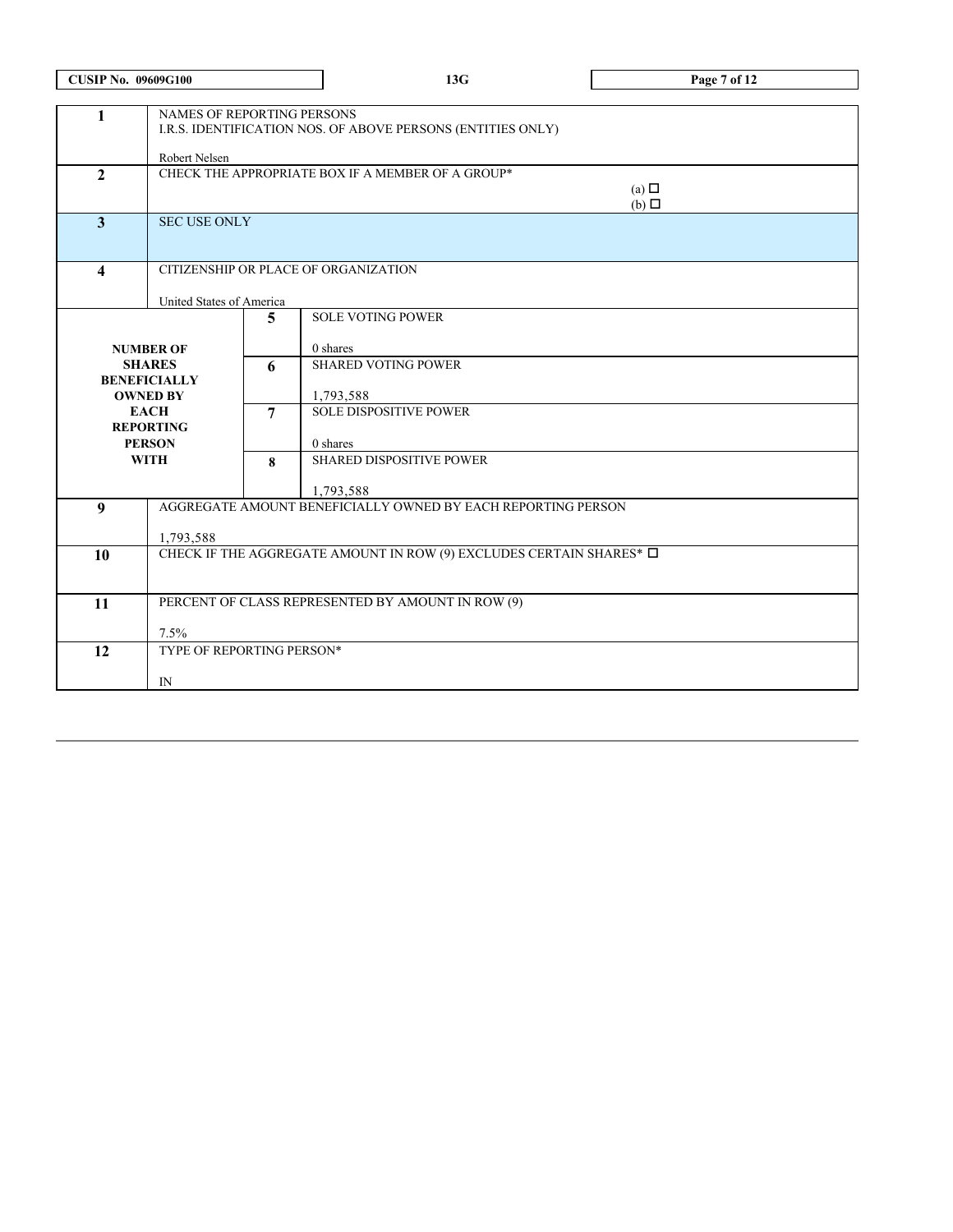| <b>CUSIP No. 09609G100</b> |                                                                          |                            | 13G                                                                       | Page 7 of 12    |  |  |  |
|----------------------------|--------------------------------------------------------------------------|----------------------------|---------------------------------------------------------------------------|-----------------|--|--|--|
|                            |                                                                          |                            |                                                                           |                 |  |  |  |
| $\mathbf{1}$               |                                                                          | NAMES OF REPORTING PERSONS |                                                                           |                 |  |  |  |
|                            |                                                                          |                            | I.R.S. IDENTIFICATION NOS. OF ABOVE PERSONS (ENTITIES ONLY)               |                 |  |  |  |
|                            | Robert Nelsen                                                            |                            |                                                                           |                 |  |  |  |
| $\overline{2}$             |                                                                          |                            | CHECK THE APPROPRIATE BOX IF A MEMBER OF A GROUP*                         |                 |  |  |  |
|                            |                                                                          |                            |                                                                           | (a) $\Box$      |  |  |  |
| $\overline{\mathbf{3}}$    | <b>SEC USE ONLY</b>                                                      |                            |                                                                           | $(b)$ $\square$ |  |  |  |
|                            |                                                                          |                            |                                                                           |                 |  |  |  |
|                            |                                                                          |                            |                                                                           |                 |  |  |  |
| $\overline{\mathbf{4}}$    |                                                                          |                            | CITIZENSHIP OR PLACE OF ORGANIZATION                                      |                 |  |  |  |
|                            |                                                                          |                            |                                                                           |                 |  |  |  |
|                            | United States of America                                                 | 5.                         | <b>SOLE VOTING POWER</b>                                                  |                 |  |  |  |
|                            |                                                                          |                            |                                                                           |                 |  |  |  |
|                            | <b>NUMBER OF</b>                                                         |                            | 0 shares                                                                  |                 |  |  |  |
|                            | <b>SHARES</b>                                                            | 6                          | <b>SHARED VOTING POWER</b>                                                |                 |  |  |  |
|                            | <b>BENEFICIALLY</b>                                                      |                            |                                                                           |                 |  |  |  |
|                            | <b>OWNED BY</b><br><b>EACH</b>                                           | $\overline{7}$             | 1,793,588<br><b>SOLE DISPOSITIVE POWER</b>                                |                 |  |  |  |
|                            | <b>REPORTING</b>                                                         |                            |                                                                           |                 |  |  |  |
|                            | <b>PERSON</b>                                                            |                            | 0 shares                                                                  |                 |  |  |  |
|                            | <b>WITH</b>                                                              |                            | SHARED DISPOSITIVE POWER                                                  |                 |  |  |  |
|                            |                                                                          |                            |                                                                           |                 |  |  |  |
| 9                          |                                                                          |                            | 1,793,588<br>AGGREGATE AMOUNT BENEFICIALLY OWNED BY EACH REPORTING PERSON |                 |  |  |  |
|                            |                                                                          |                            |                                                                           |                 |  |  |  |
|                            | 1,793,588                                                                |                            |                                                                           |                 |  |  |  |
| 10                         | CHECK IF THE AGGREGATE AMOUNT IN ROW (9) EXCLUDES CERTAIN SHARES* $\Box$ |                            |                                                                           |                 |  |  |  |
|                            |                                                                          |                            |                                                                           |                 |  |  |  |
| 11                         | PERCENT OF CLASS REPRESENTED BY AMOUNT IN ROW (9)                        |                            |                                                                           |                 |  |  |  |
|                            |                                                                          |                            |                                                                           |                 |  |  |  |
|                            | 7.5%                                                                     |                            |                                                                           |                 |  |  |  |
| 12                         | TYPE OF REPORTING PERSON*                                                |                            |                                                                           |                 |  |  |  |
|                            | IN                                                                       |                            |                                                                           |                 |  |  |  |
|                            |                                                                          |                            |                                                                           |                 |  |  |  |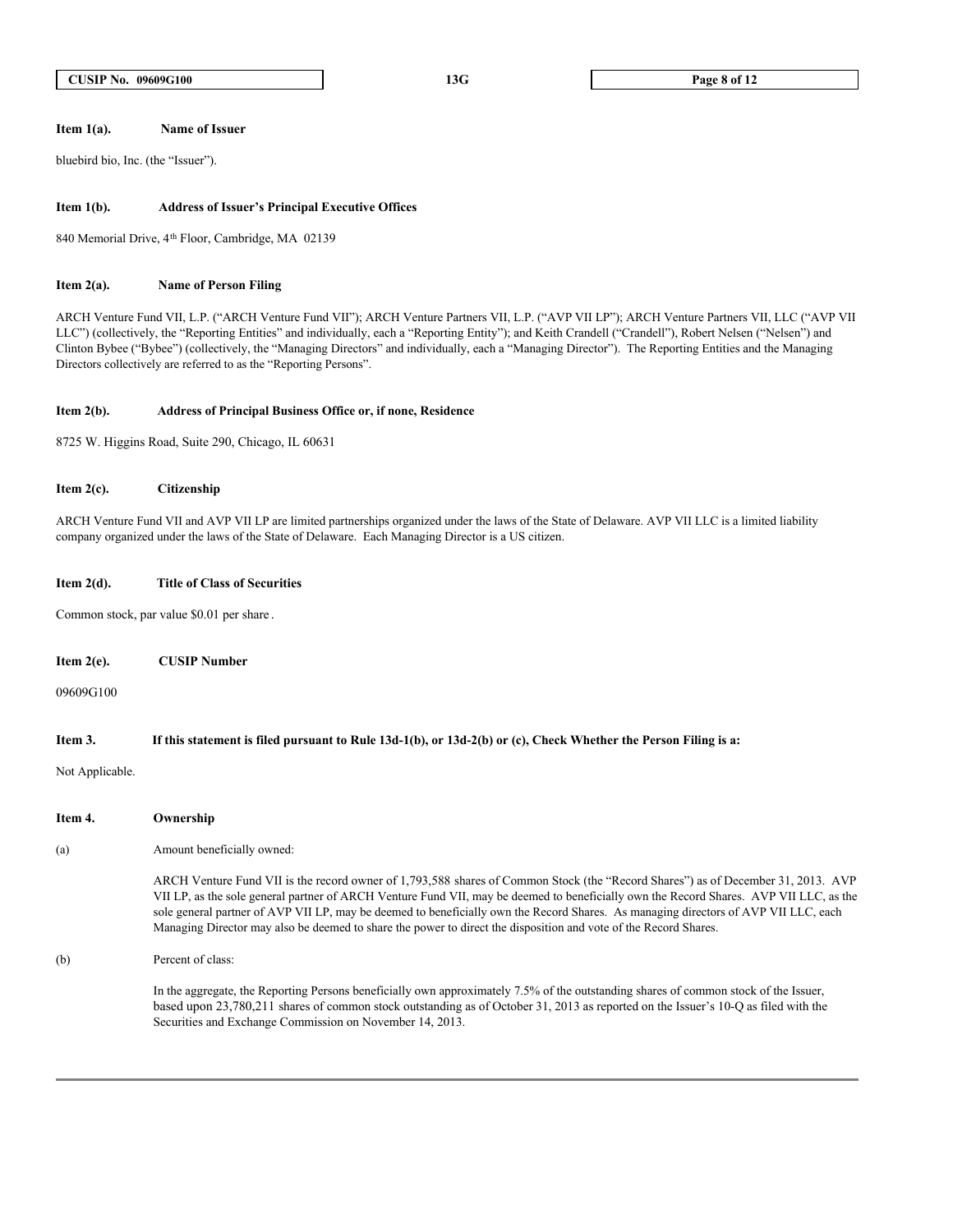#### **Item 1(a). Name of Issuer**

bluebird bio, Inc. (the "Issuer").

#### **Item 1(b). Address of Issuer's Principal Executive Offices**

840 Memorial Drive, 4th Floor, Cambridge, MA 02139

#### **Item 2(a). Name of Person Filing**

ARCH Venture Fund VII, L.P. ("ARCH Venture Fund VII"); ARCH Venture Partners VII, L.P. ("AVP VII LP"); ARCH Venture Partners VII, LLC ("AVP VII LLC") (collectively, the "Reporting Entities" and individually, each a "Reporting Entity"); and Keith Crandell ("Crandell"), Robert Nelsen ("Nelsen") and Clinton Bybee ("Bybee") (collectively, the "Managing Directors" and individually, each a "Managing Director"). The Reporting Entities and the Managing Directors collectively are referred to as the "Reporting Persons".

#### **Item 2(b). Address of Principal Business Office or, if none, Residence**

8725 W. Higgins Road, Suite 290, Chicago, IL 60631

#### **Item 2(c). Citizenship**

ARCH Venture Fund VII and AVP VII LP are limited partnerships organized under the laws of the State of Delaware. AVP VII LLC is a limited liability company organized under the laws of the State of Delaware. Each Managing Director is a US citizen.

#### **Item 2(d). Title of Class of Securities**

Common stock, par value \$0.01 per share .

**Item 2(e). CUSIP Number**

09609G100

#### **Item 3. If this statement is filed pursuant to Rule 13d-1(b), or 13d-2(b) or (c), Check Whether the Person Filing is a:**

Not Applicable.

- **Item 4. Ownership**
- (a) Amount beneficially owned:

ARCH Venture Fund VII is the record owner of 1,793,588 shares of Common Stock (the "Record Shares") as of December 31, 2013. AVP VII LP, as the sole general partner of ARCH Venture Fund VII, may be deemed to beneficially own the Record Shares. AVP VII LLC, as the sole general partner of AVP VII LP, may be deemed to beneficially own the Record Shares. As managing directors of AVP VII LLC, each Managing Director may also be deemed to share the power to direct the disposition and vote of the Record Shares.

(b) Percent of class:

In the aggregate, the Reporting Persons beneficially own approximately 7.5% of the outstanding shares of common stock of the Issuer, based upon 23,780,211 shares of common stock outstanding as of October 31, 2013 as reported on the Issuer's 10-Q as filed with the Securities and Exchange Commission on November 14, 2013.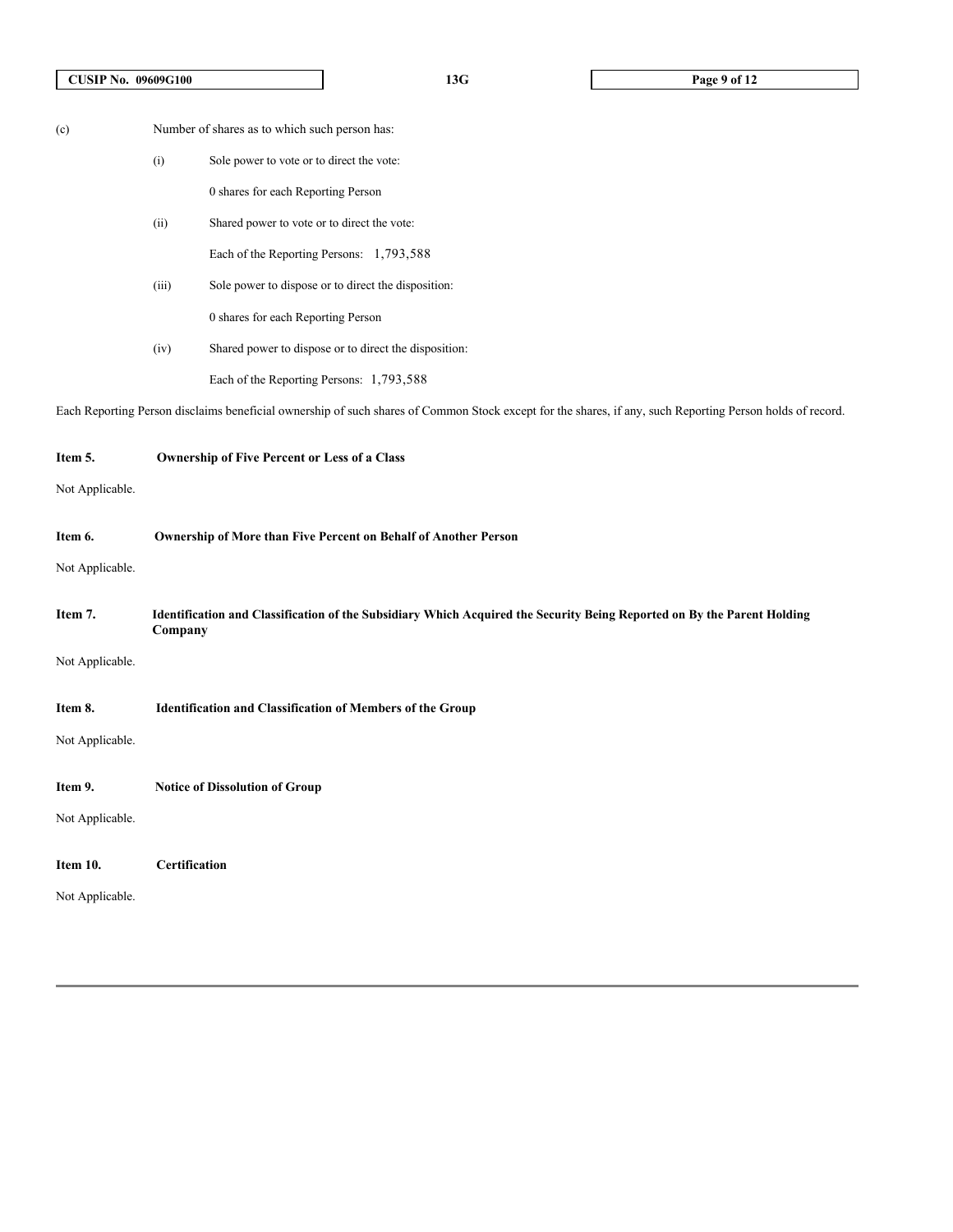| (c) |       | Number of shares as to which such person has:                                   |
|-----|-------|---------------------------------------------------------------------------------|
|     | (i)   | Sole power to vote or to direct the vote:                                       |
|     |       | 0 shares for each Reporting Person                                              |
|     | (ii)  | Shared power to vote or to direct the vote:                                     |
|     |       | Each of the Reporting Persons: 1,793,588                                        |
|     | (iii) | Sole power to dispose or to direct the disposition:                             |
|     |       | 0 shares for each Reporting Person                                              |
|     | (iv)  | Shared power to dispose or to direct the disposition:                           |
|     |       | Each of the Reporting Persons: 1,793,588                                        |
|     |       | Each Reporting Person disclaims beneficial ownership of such shares of Common S |

Stock except for the shares, if any, such Reporting Person holds of record.

# **Item 5. Ownership of Five Percent or Less of a Class**

Not Applicable.

| Item 6. | <b>Ownership of More than Five Percent on Behalf of Another Person</b> |
|---------|------------------------------------------------------------------------|
|         |                                                                        |

Not Applicable.

| Item 7.         | Identification and Classification of the Subsidiary Which Acquired the Security Being Reported on By the Parent Holding<br>Company |
|-----------------|------------------------------------------------------------------------------------------------------------------------------------|
| Not Applicable. |                                                                                                                                    |

# **Item 8. Identification and Classification of Members of the Group**

Not Applicable.

**Item 9. Notice of Dissolution of Group**

Not Applicable.

| Item 10. | <b>Certification</b> |
|----------|----------------------|
|----------|----------------------|

Not Applicable.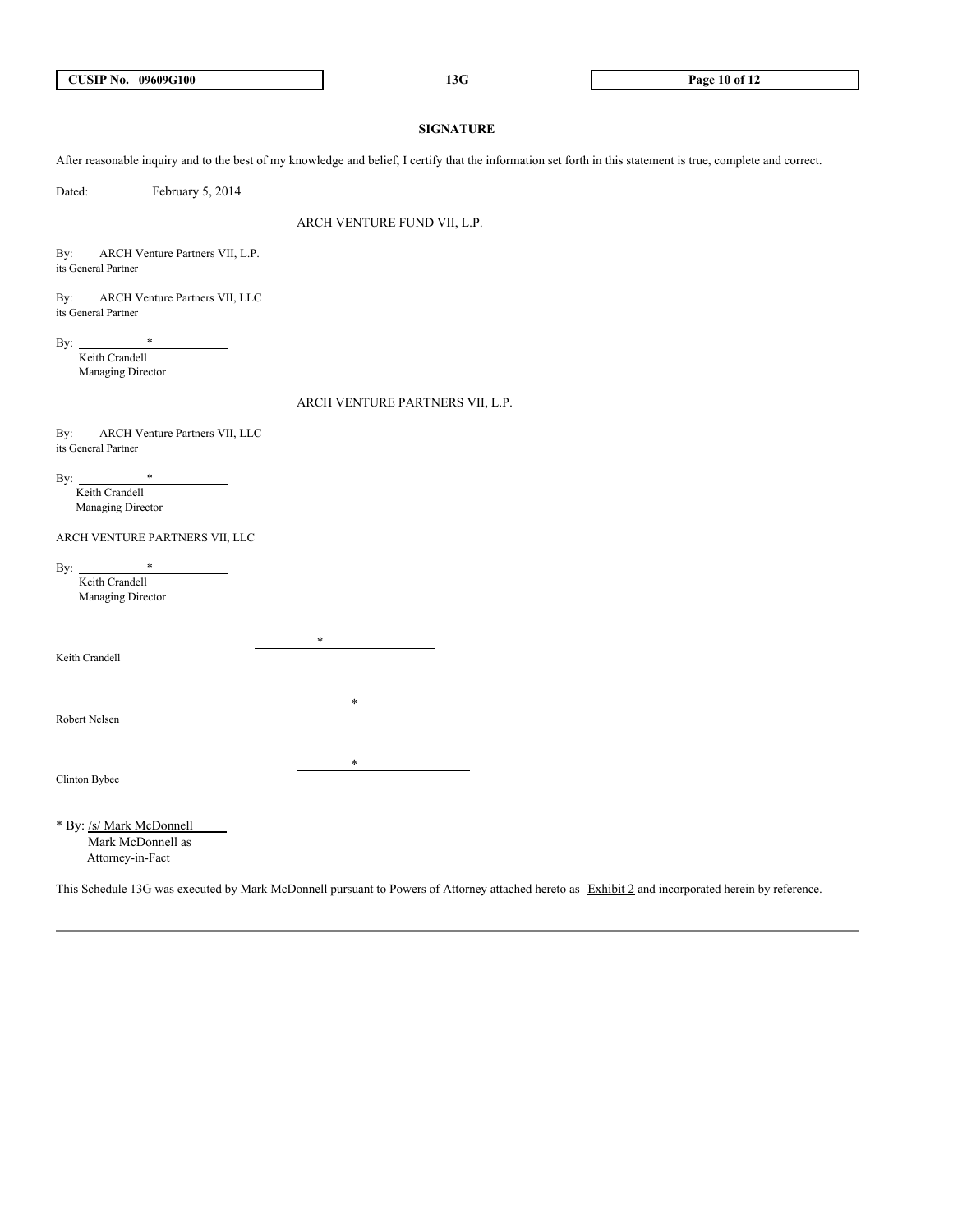# **SIGNATURE**

After reasonable inquiry and to the best of my knowledge and belief, I certify that the information set forth in this statement is true, complete and correct.

Dated: February 5, 2014

ARCH VENTURE FUND VII, L.P.

By: ARCH Venture Partners VII, L.P. its General Partner

By: ARCH Venture Partners VII, LLC its General Partner

By:  $*$  Keith Crandell Managing Director

ARCH VENTURE PARTNERS VII, L.P.

By: ARCH Venture Partners VII, LLC its General Partner

By: Keith Crandell

Managing Director

ARCH VENTURE PARTNERS VII, LLC

By: Keith Crandell

Managing Director

\*

\*

 $*$ 

Robert Nelsen

Keith Crandell

Clinton Bybee

\* By: /s/ Mark McDonnell Mark McDonnell as Attorney-in-Fact

This Schedule 13G was executed by Mark McDonnell pursuant to Powers of Attorney attached hereto as Exhibit 2 and incorporated herein by reference.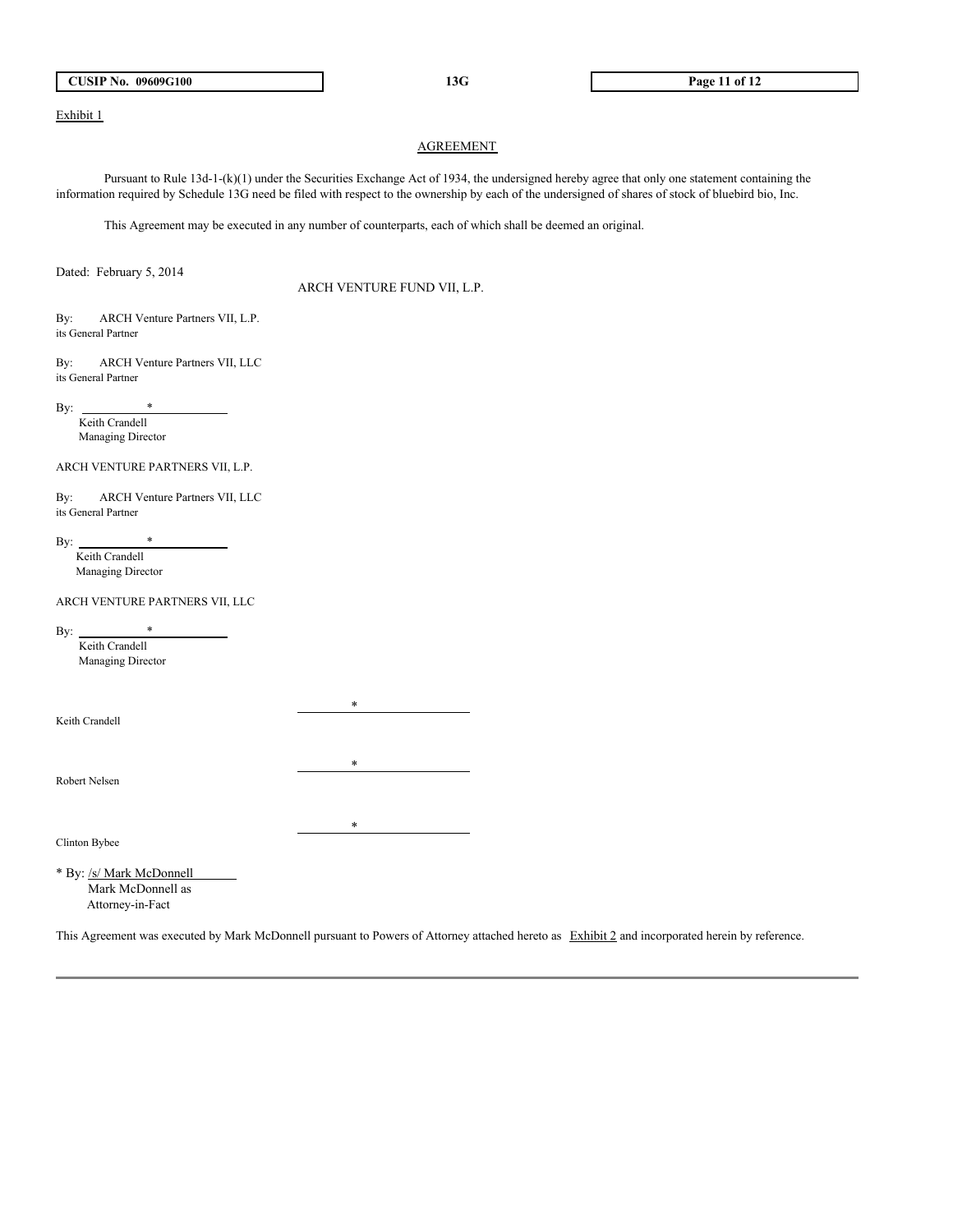# Exhibit 1

# AGREEMENT

Pursuant to Rule 13d-1-(k)(1) under the Securities Exchange Act of 1934, the undersigned hereby agree that only one statement containing the information required by Schedule 13G need be filed with respect to the ownership by each of the undersigned of shares of stock of bluebird bio, Inc.

This Agreement may be executed in any number of counterparts, each of which shall be deemed an original.

Dated: February 5, 2014

ARCH VENTURE FUND VII, L.P.

By: ARCH Venture Partners VII, L.P. its General Partner

By: ARCH Venture Partners VII, LLC its General Partner

By:  $*$  Keith Crandell Managing Director

ARCH VENTURE PARTNERS VII, L.P.

By: ARCH Venture Partners VII, LLC its General Partner

By:  $*$  Keith Crandell Managing Director

ARCH VENTURE PARTNERS VII, LLC

By: Keith Crandell Managing Director

Keith Crandell

Robert Nelsen

 $\overline{\phantom{a}}$ 

\*

\*

Clinton Bybee

\* By: /s/ Mark McDonnell Mark McDonnell as Attorney-in-Fact

This Agreement was executed by Mark McDonnell pursuant to Powers of Attorney attached hereto as Exhibit 2 and incorporated herein by reference.